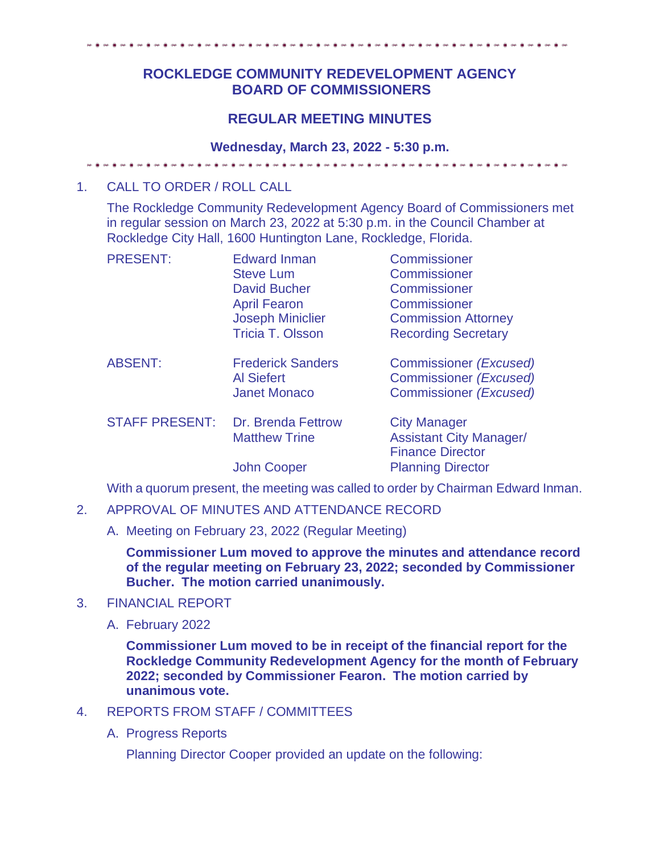# **ROCKLEDGE COMMUNITY REDEVELOPMENT AGENCY BOARD OF COMMISSIONERS**

## **REGULAR MEETING MINUTES**

### **Wednesday, March 23, 2022 - 5:30 p.m.**

## 1. CALL TO ORDER / ROLL CALL

The Rockledge Community Redevelopment Agency Board of Commissioners met in regular session on March 23, 2022 at 5:30 p.m. in the Council Chamber at Rockledge City Hall, 1600 Huntington Lane, Rockledge, Florida.

| <b>PRESENT:</b>       | <b>Edward Inman</b><br><b>Steve Lum</b><br><b>David Bucher</b><br><b>April Fearon</b><br><b>Joseph Miniclier</b><br><b>Tricia T. Olsson</b> | Commissioner<br>Commissioner<br><b>Commissioner</b><br>Commissioner<br><b>Commission Attorney</b><br><b>Recording Secretary</b> |
|-----------------------|---------------------------------------------------------------------------------------------------------------------------------------------|---------------------------------------------------------------------------------------------------------------------------------|
| <b>ABSENT:</b>        | <b>Frederick Sanders</b><br><b>Al Siefert</b><br><b>Janet Monaco</b>                                                                        | Commissioner (Excused)<br><b>Commissioner (Excused)</b><br>Commissioner (Excused)                                               |
| <b>STAFF PRESENT:</b> | <b>Dr. Brenda Fettrow</b><br><b>Matthew Trine</b>                                                                                           | <b>City Manager</b><br><b>Assistant City Manager/</b><br><b>Finance Director</b>                                                |
|                       | <b>John Cooper</b>                                                                                                                          | <b>Planning Director</b>                                                                                                        |

With a quorum present, the meeting was called to order by Chairman Edward Inman.

### 2. APPROVAL OF MINUTES AND ATTENDANCE RECORD

A. Meeting on February 23, 2022 (Regular Meeting)

**Commissioner Lum moved to approve the minutes and attendance record of the regular meeting on February 23, 2022; seconded by Commissioner Bucher. The motion carried unanimously.** 

#### 3. FINANCIAL REPORT

A. February 2022

**Commissioner Lum moved to be in receipt of the financial report for the Rockledge Community Redevelopment Agency for the month of February 2022; seconded by Commissioner Fearon. The motion carried by unanimous vote.** 

## 4. REPORTS FROM STAFF / COMMITTEES

A. Progress Reports

Planning Director Cooper provided an update on the following: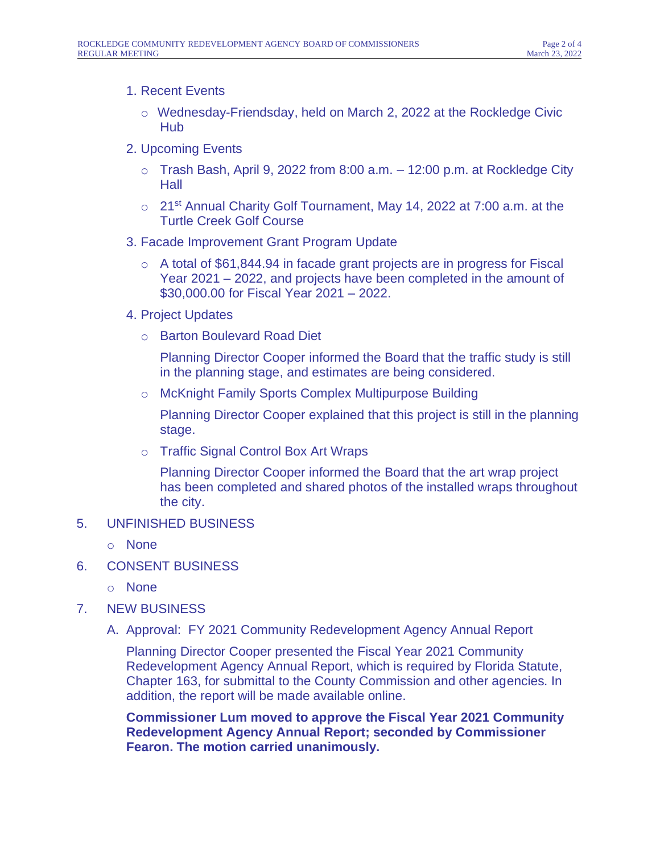## 1. Recent Events

- $\circ$  Wednesday-Friendsday, held on March 2, 2022 at the Rockledge Civic Hub
- 2. Upcoming Events
	- $\circ$  Trash Bash, April 9, 2022 from 8:00 a.m.  $-$  12:00 p.m. at Rockledge City **Hall**
	- $\circ$  21<sup>st</sup> Annual Charity Golf Tournament, May 14, 2022 at 7:00 a.m. at the Turtle Creek Golf Course
- 3. Facade Improvement Grant Program Update
	- o A total of \$61,844.94 in facade grant projects are in progress for Fiscal Year 2021 – 2022, and projects have been completed in the amount of \$30,000.00 for Fiscal Year 2021 – 2022.
- 4. Project Updates
	- o Barton Boulevard Road Diet

Planning Director Cooper informed the Board that the traffic study is still in the planning stage, and estimates are being considered.

o McKnight Family Sports Complex Multipurpose Building

Planning Director Cooper explained that this project is still in the planning stage.

o Traffic Signal Control Box Art Wraps

Planning Director Cooper informed the Board that the art wrap project has been completed and shared photos of the installed wraps throughout the city.

## 5. UNFINISHED BUSINESS

- o None
- 6. CONSENT BUSINESS
	- o None
- 7. NEW BUSINESS
	- A. Approval: FY 2021 Community Redevelopment Agency Annual Report

Planning Director Cooper presented the Fiscal Year 2021 Community Redevelopment Agency Annual Report, which is required by Florida Statute, Chapter 163, for submittal to the County Commission and other agencies. In addition, the report will be made available online.

**Commissioner Lum moved to approve the Fiscal Year 2021 Community Redevelopment Agency Annual Report; seconded by Commissioner Fearon. The motion carried unanimously.**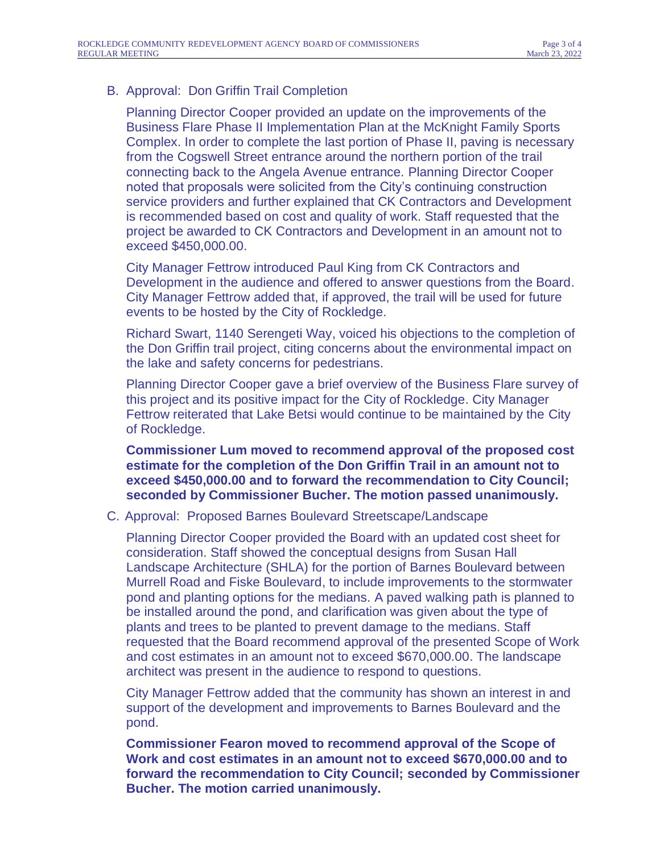## B. Approval: Don Griffin Trail Completion

Planning Director Cooper provided an update on the improvements of the Business Flare Phase II Implementation Plan at the McKnight Family Sports Complex. In order to complete the last portion of Phase II, paving is necessary from the Cogswell Street entrance around the northern portion of the trail connecting back to the Angela Avenue entrance. Planning Director Cooper noted that proposals were solicited from the City's continuing construction service providers and further explained that CK Contractors and Development is recommended based on cost and quality of work. Staff requested that the project be awarded to CK Contractors and Development in an amount not to exceed \$450,000.00.

City Manager Fettrow introduced Paul King from CK Contractors and Development in the audience and offered to answer questions from the Board. City Manager Fettrow added that, if approved, the trail will be used for future events to be hosted by the City of Rockledge.

Richard Swart, 1140 Serengeti Way, voiced his objections to the completion of the Don Griffin trail project, citing concerns about the environmental impact on the lake and safety concerns for pedestrians.

Planning Director Cooper gave a brief overview of the Business Flare survey of this project and its positive impact for the City of Rockledge. City Manager Fettrow reiterated that Lake Betsi would continue to be maintained by the City of Rockledge.

**Commissioner Lum moved to recommend approval of the proposed cost estimate for the completion of the Don Griffin Trail in an amount not to exceed \$450,000.00 and to forward the recommendation to City Council; seconded by Commissioner Bucher. The motion passed unanimously.**

#### C. Approval: Proposed Barnes Boulevard Streetscape/Landscape

Planning Director Cooper provided the Board with an updated cost sheet for consideration. Staff showed the conceptual designs from Susan Hall Landscape Architecture (SHLA) for the portion of Barnes Boulevard between Murrell Road and Fiske Boulevard, to include improvements to the stormwater pond and planting options for the medians. A paved walking path is planned to be installed around the pond, and clarification was given about the type of plants and trees to be planted to prevent damage to the medians. Staff requested that the Board recommend approval of the presented Scope of Work and cost estimates in an amount not to exceed \$670,000.00. The landscape architect was present in the audience to respond to questions.

City Manager Fettrow added that the community has shown an interest in and support of the development and improvements to Barnes Boulevard and the pond.

**Commissioner Fearon moved to recommend approval of the Scope of Work and cost estimates in an amount not to exceed \$670,000.00 and to forward the recommendation to City Council; seconded by Commissioner Bucher. The motion carried unanimously.**